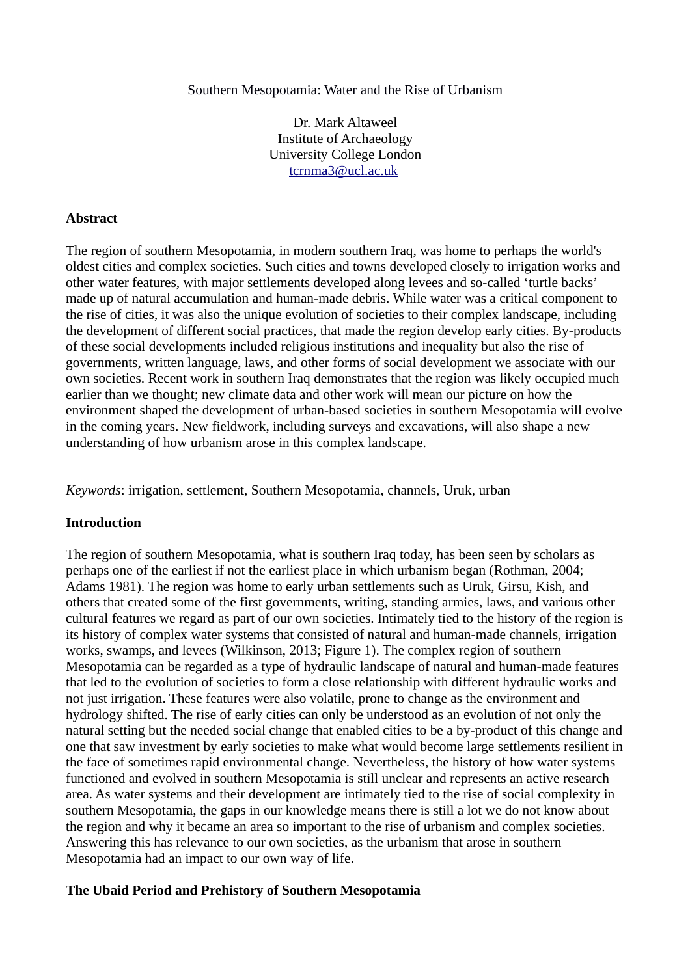Southern Mesopotamia: Water and the Rise of Urbanism

Dr. Mark Altaweel Institute of Archaeology University College London [tcrnma3@ucl.ac.uk](mailto:tcrnma3@ucl.ac.uk)

## **Abstract**

The region of southern Mesopotamia, in modern southern Iraq, was home to perhaps the world's oldest cities and complex societies. Such cities and towns developed closely to irrigation works and other water features, with major settlements developed along levees and so-called 'turtle backs' made up of natural accumulation and human-made debris. While water was a critical component to the rise of cities, it was also the unique evolution of societies to their complex landscape, including the development of different social practices, that made the region develop early cities. By-products of these social developments included religious institutions and inequality but also the rise of governments, written language, laws, and other forms of social development we associate with our own societies. Recent work in southern Iraq demonstrates that the region was likely occupied much earlier than we thought; new climate data and other work will mean our picture on how the environment shaped the development of urban-based societies in southern Mesopotamia will evolve in the coming years. New fieldwork, including surveys and excavations, will also shape a new understanding of how urbanism arose in this complex landscape.

*Keywords*: irrigation, settlement, Southern Mesopotamia, channels, Uruk, urban

### **Introduction**

The region of southern Mesopotamia, what is southern Iraq today, has been seen by scholars as perhaps one of the earliest if not the earliest place in which urbanism began (Rothman, 2004; Adams 1981). The region was home to early urban settlements such as Uruk, Girsu, Kish, and others that created some of the first governments, writing, standing armies, laws, and various other cultural features we regard as part of our own societies. Intimately tied to the history of the region is its history of complex water systems that consisted of natural and human-made channels, irrigation works, swamps, and levees (Wilkinson, 2013; Figure 1). The complex region of southern Mesopotamia can be regarded as a type of hydraulic landscape of natural and human-made features that led to the evolution of societies to form a close relationship with different hydraulic works and not just irrigation. These features were also volatile, prone to change as the environment and hydrology shifted. The rise of early cities can only be understood as an evolution of not only the natural setting but the needed social change that enabled cities to be a by-product of this change and one that saw investment by early societies to make what would become large settlements resilient in the face of sometimes rapid environmental change. Nevertheless, the history of how water systems functioned and evolved in southern Mesopotamia is still unclear and represents an active research area. As water systems and their development are intimately tied to the rise of social complexity in southern Mesopotamia, the gaps in our knowledge means there is still a lot we do not know about the region and why it became an area so important to the rise of urbanism and complex societies. Answering this has relevance to our own societies, as the urbanism that arose in southern Mesopotamia had an impact to our own way of life.

### **The Ubaid Period and Prehistory of Southern Mesopotamia**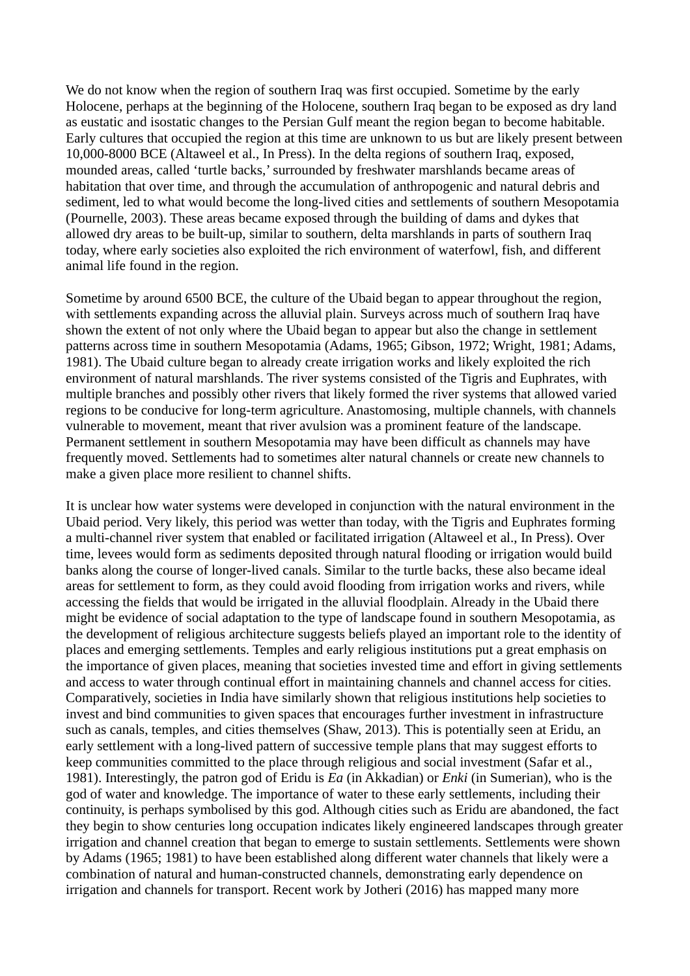We do not know when the region of southern Iraq was first occupied. Sometime by the early Holocene, perhaps at the beginning of the Holocene, southern Iraq began to be exposed as dry land as eustatic and isostatic changes to the Persian Gulf meant the region began to become habitable. Early cultures that occupied the region at this time are unknown to us but are likely present between 10,000-8000 BCE (Altaweel et al., In Press). In the delta regions of southern Iraq, exposed, mounded areas, called 'turtle backs,' surrounded by freshwater marshlands became areas of habitation that over time, and through the accumulation of anthropogenic and natural debris and sediment, led to what would become the long-lived cities and settlements of southern Mesopotamia (Pournelle, 2003). These areas became exposed through the building of dams and dykes that allowed dry areas to be built-up, similar to southern, delta marshlands in parts of southern Iraq today, where early societies also exploited the rich environment of waterfowl, fish, and different animal life found in the region.

Sometime by around 6500 BCE, the culture of the Ubaid began to appear throughout the region, with settlements expanding across the alluvial plain. Surveys across much of southern Iraq have shown the extent of not only where the Ubaid began to appear but also the change in settlement patterns across time in southern Mesopotamia (Adams, 1965; Gibson, 1972; Wright, 1981; Adams, 1981). The Ubaid culture began to already create irrigation works and likely exploited the rich environment of natural marshlands. The river systems consisted of the Tigris and Euphrates, with multiple branches and possibly other rivers that likely formed the river systems that allowed varied regions to be conducive for long-term agriculture. Anastomosing, multiple channels, with channels vulnerable to movement, meant that river avulsion was a prominent feature of the landscape. Permanent settlement in southern Mesopotamia may have been difficult as channels may have frequently moved. Settlements had to sometimes alter natural channels or create new channels to make a given place more resilient to channel shifts.

It is unclear how water systems were developed in conjunction with the natural environment in the Ubaid period. Very likely, this period was wetter than today, with the Tigris and Euphrates forming a multi-channel river system that enabled or facilitated irrigation (Altaweel et al., In Press). Over time, levees would form as sediments deposited through natural flooding or irrigation would build banks along the course of longer-lived canals. Similar to the turtle backs, these also became ideal areas for settlement to form, as they could avoid flooding from irrigation works and rivers, while accessing the fields that would be irrigated in the alluvial floodplain. Already in the Ubaid there might be evidence of social adaptation to the type of landscape found in southern Mesopotamia, as the development of religious architecture suggests beliefs played an important role to the identity of places and emerging settlements. Temples and early religious institutions put a great emphasis on the importance of given places, meaning that societies invested time and effort in giving settlements and access to water through continual effort in maintaining channels and channel access for cities. Comparatively, societies in India have similarly shown that religious institutions help societies to invest and bind communities to given spaces that encourages further investment in infrastructure such as canals, temples, and cities themselves (Shaw, 2013). This is potentially seen at Eridu, an early settlement with a long-lived pattern of successive temple plans that may suggest efforts to keep communities committed to the place through religious and social investment (Safar et al., 1981). Interestingly, the patron god of Eridu is *Ea* (in Akkadian) or *Enki* (in Sumerian), who is the god of water and knowledge. The importance of water to these early settlements, including their continuity, is perhaps symbolised by this god. Although cities such as Eridu are abandoned, the fact they begin to show centuries long occupation indicates likely engineered landscapes through greater irrigation and channel creation that began to emerge to sustain settlements. Settlements were shown by Adams (1965; 1981) to have been established along different water channels that likely were a combination of natural and human-constructed channels, demonstrating early dependence on irrigation and channels for transport. Recent work by Jotheri (2016) has mapped many more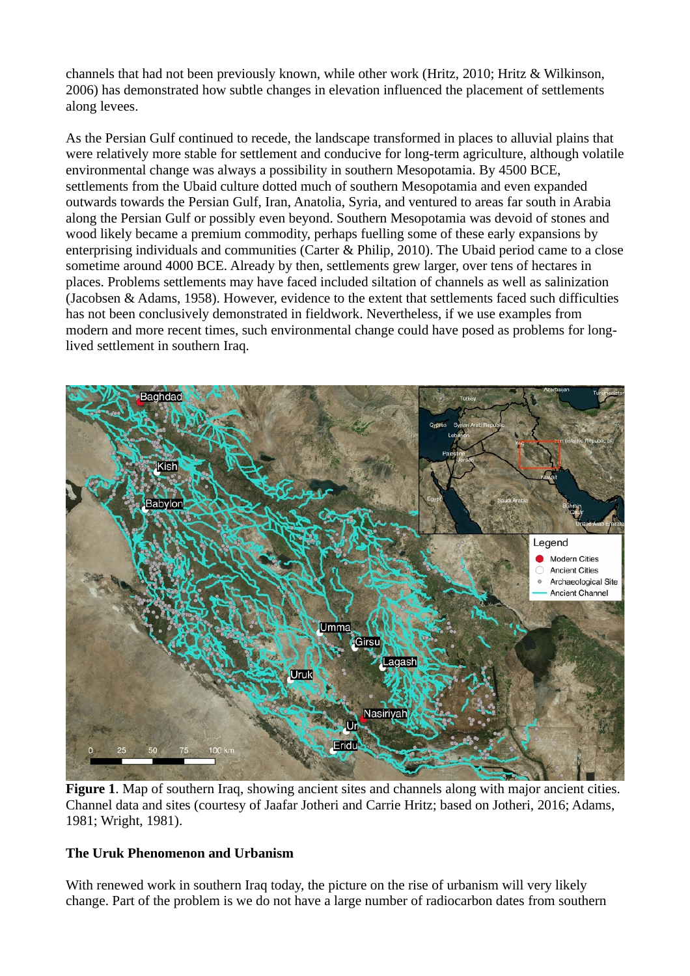channels that had not been previously known, while other work (Hritz, 2010; Hritz & Wilkinson, 2006) has demonstrated how subtle changes in elevation influenced the placement of settlements along levees.

As the Persian Gulf continued to recede, the landscape transformed in places to alluvial plains that were relatively more stable for settlement and conducive for long-term agriculture, although volatile environmental change was always a possibility in southern Mesopotamia. By 4500 BCE, settlements from the Ubaid culture dotted much of southern Mesopotamia and even expanded outwards towards the Persian Gulf, Iran, Anatolia, Syria, and ventured to areas far south in Arabia along the Persian Gulf or possibly even beyond. Southern Mesopotamia was devoid of stones and wood likely became a premium commodity, perhaps fuelling some of these early expansions by enterprising individuals and communities (Carter & Philip, 2010). The Ubaid period came to a close sometime around 4000 BCE. Already by then, settlements grew larger, over tens of hectares in places. Problems settlements may have faced included siltation of channels as well as salinization (Jacobsen & Adams, 1958). However, evidence to the extent that settlements faced such difficulties has not been conclusively demonstrated in fieldwork. Nevertheless, if we use examples from modern and more recent times, such environmental change could have posed as problems for longlived settlement in southern Iraq.



**Figure 1**. Map of southern Iraq, showing ancient sites and channels along with major ancient cities. Channel data and sites (courtesy of Jaafar Jotheri and Carrie Hritz; based on Jotheri, 2016; Adams, 1981; Wright, 1981).

# **The Uruk Phenomenon and Urbanism**

With renewed work in southern Iraq today, the picture on the rise of urbanism will very likely change. Part of the problem is we do not have a large number of radiocarbon dates from southern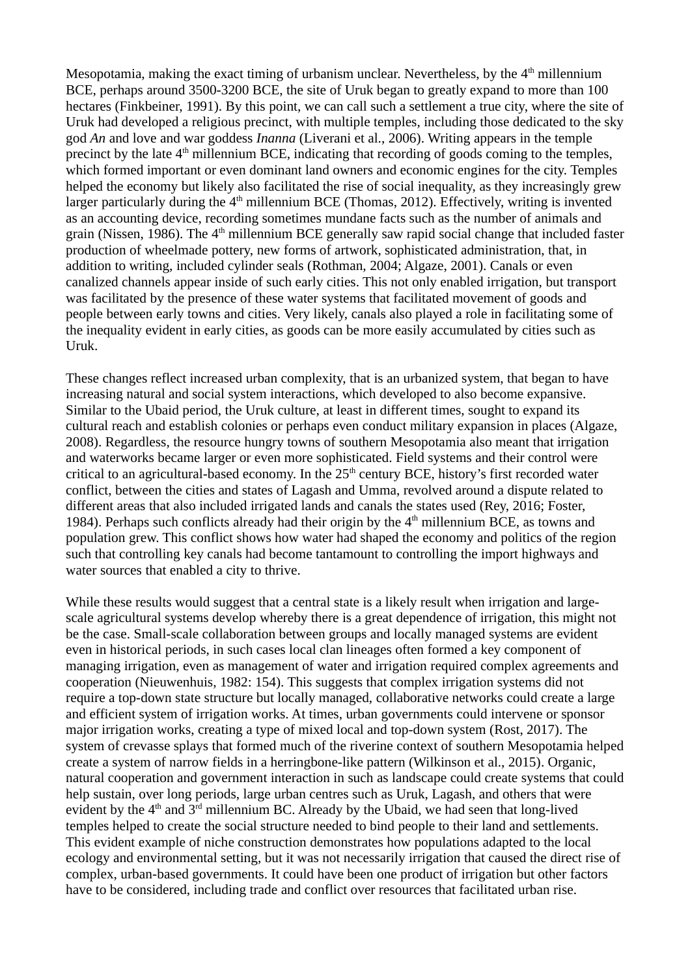Mesopotamia, making the exact timing of urbanism unclear. Nevertheless, by the  $4<sup>th</sup>$  millennium BCE, perhaps around 3500-3200 BCE, the site of Uruk began to greatly expand to more than 100 hectares (Finkbeiner, 1991). By this point, we can call such a settlement a true city, where the site of Uruk had developed a religious precinct, with multiple temples, including those dedicated to the sky god *An* and love and war goddess *Inanna* (Liverani et al., 2006). Writing appears in the temple precinct by the late 4<sup>th</sup> millennium BCE, indicating that recording of goods coming to the temples, which formed important or even dominant land owners and economic engines for the city. Temples helped the economy but likely also facilitated the rise of social inequality, as they increasingly grew larger particularly during the  $4<sup>th</sup>$  millennium BCE (Thomas, 2012). Effectively, writing is invented as an accounting device, recording sometimes mundane facts such as the number of animals and grain (Nissen, 1986). The  $4<sup>th</sup>$  millennium BCE generally saw rapid social change that included faster production of wheelmade pottery, new forms of artwork, sophisticated administration, that, in addition to writing, included cylinder seals (Rothman, 2004; Algaze, 2001). Canals or even canalized channels appear inside of such early cities. This not only enabled irrigation, but transport was facilitated by the presence of these water systems that facilitated movement of goods and people between early towns and cities. Very likely, canals also played a role in facilitating some of the inequality evident in early cities, as goods can be more easily accumulated by cities such as Uruk.

These changes reflect increased urban complexity, that is an urbanized system, that began to have increasing natural and social system interactions, which developed to also become expansive. Similar to the Ubaid period, the Uruk culture, at least in different times, sought to expand its cultural reach and establish colonies or perhaps even conduct military expansion in places (Algaze, 2008). Regardless, the resource hungry towns of southern Mesopotamia also meant that irrigation and waterworks became larger or even more sophisticated. Field systems and their control were critical to an agricultural-based economy. In the  $25<sup>th</sup>$  century BCE, history's first recorded water conflict, between the cities and states of Lagash and Umma, revolved around a dispute related to different areas that also included irrigated lands and canals the states used (Rey, 2016; Foster, 1984). Perhaps such conflicts already had their origin by the  $4<sup>th</sup>$  millennium BCE, as towns and population grew. This conflict shows how water had shaped the economy and politics of the region such that controlling key canals had become tantamount to controlling the import highways and water sources that enabled a city to thrive.

While these results would suggest that a central state is a likely result when irrigation and largescale agricultural systems develop whereby there is a great dependence of irrigation, this might not be the case. Small-scale collaboration between groups and locally managed systems are evident even in historical periods, in such cases local clan lineages often formed a key component of managing irrigation, even as management of water and irrigation required complex agreements and cooperation (Nieuwenhuis, 1982: 154). This suggests that complex irrigation systems did not require a top-down state structure but locally managed, collaborative networks could create a large and efficient system of irrigation works. At times, urban governments could intervene or sponsor major irrigation works, creating a type of mixed local and top-down system (Rost, 2017). The system of crevasse splays that formed much of the riverine context of southern Mesopotamia helped create a system of narrow fields in a herringbone-like pattern (Wilkinson et al., 2015). Organic, natural cooperation and government interaction in such as landscape could create systems that could help sustain, over long periods, large urban centres such as Uruk, Lagash, and others that were evident by the  $4<sup>th</sup>$  and  $3<sup>rd</sup>$  millennium BC. Already by the Ubaid, we had seen that long-lived temples helped to create the social structure needed to bind people to their land and settlements. This evident example of niche construction demonstrates how populations adapted to the local ecology and environmental setting, but it was not necessarily irrigation that caused the direct rise of complex, urban-based governments. It could have been one product of irrigation but other factors have to be considered, including trade and conflict over resources that facilitated urban rise.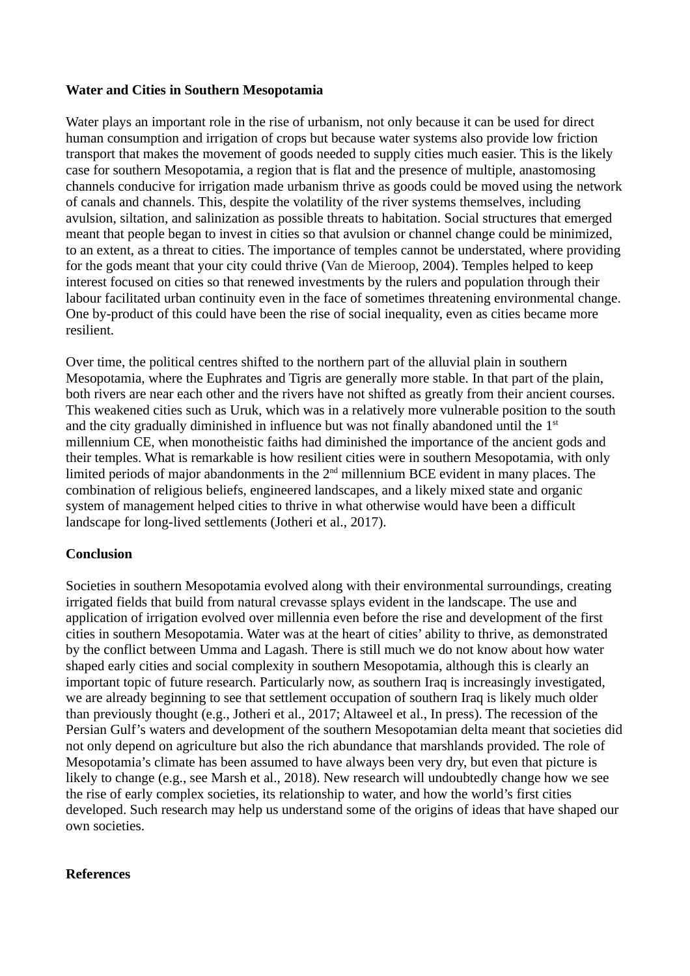## **Water and Cities in Southern Mesopotamia**

Water plays an important role in the rise of urbanism, not only because it can be used for direct human consumption and irrigation of crops but because water systems also provide low friction transport that makes the movement of goods needed to supply cities much easier. This is the likely case for southern Mesopotamia, a region that is flat and the presence of multiple, anastomosing channels conducive for irrigation made urbanism thrive as goods could be moved using the network of canals and channels. This, despite the volatility of the river systems themselves, including avulsion, siltation, and salinization as possible threats to habitation. Social structures that emerged meant that people began to invest in cities so that avulsion or channel change could be minimized, to an extent, as a threat to cities. The importance of temples cannot be understated, where providing for the gods meant that your city could thrive (Van de Mieroop, 2004). Temples helped to keep interest focused on cities so that renewed investments by the rulers and population through their labour facilitated urban continuity even in the face of sometimes threatening environmental change. One by-product of this could have been the rise of social inequality, even as cities became more resilient.

Over time, the political centres shifted to the northern part of the alluvial plain in southern Mesopotamia, where the Euphrates and Tigris are generally more stable. In that part of the plain, both rivers are near each other and the rivers have not shifted as greatly from their ancient courses. This weakened cities such as Uruk, which was in a relatively more vulnerable position to the south and the city gradually diminished in influence but was not finally abandoned until the  $1<sup>st</sup>$ millennium CE, when monotheistic faiths had diminished the importance of the ancient gods and their temples. What is remarkable is how resilient cities were in southern Mesopotamia, with only limited periods of major abandonments in the 2nd millennium BCE evident in many places. The combination of religious beliefs, engineered landscapes, and a likely mixed state and organic system of management helped cities to thrive in what otherwise would have been a difficult landscape for long-lived settlements (Jotheri et al., 2017).

# **Conclusion**

Societies in southern Mesopotamia evolved along with their environmental surroundings, creating irrigated fields that build from natural crevasse splays evident in the landscape. The use and application of irrigation evolved over millennia even before the rise and development of the first cities in southern Mesopotamia. Water was at the heart of cities' ability to thrive, as demonstrated by the conflict between Umma and Lagash. There is still much we do not know about how water shaped early cities and social complexity in southern Mesopotamia, although this is clearly an important topic of future research. Particularly now, as southern Iraq is increasingly investigated, we are already beginning to see that settlement occupation of southern Iraq is likely much older than previously thought (e.g., Jotheri et al., 2017; Altaweel et al., In press). The recession of the Persian Gulf's waters and development of the southern Mesopotamian delta meant that societies did not only depend on agriculture but also the rich abundance that marshlands provided. The role of Mesopotamia's climate has been assumed to have always been very dry, but even that picture is likely to change (e.g., see Marsh et al., 2018). New research will undoubtedly change how we see the rise of early complex societies, its relationship to water, and how the world's first cities developed. Such research may help us understand some of the origins of ideas that have shaped our own societies.

#### **References**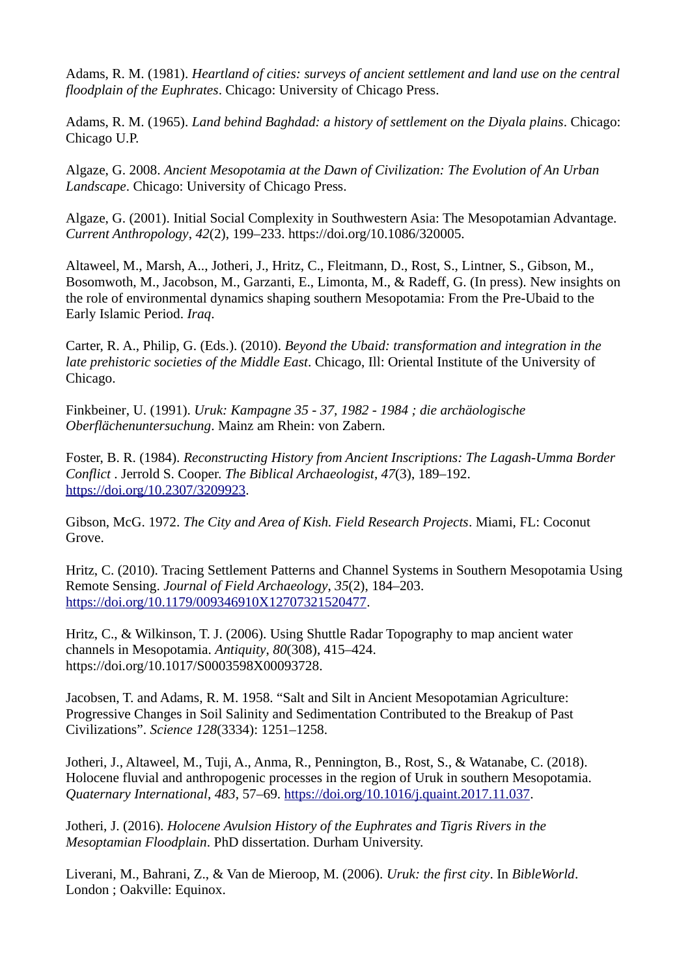Adams, R. M. (1981). *Heartland of cities: surveys of ancient settlement and land use on the central floodplain of the Euphrates*. Chicago: University of Chicago Press.

Adams, R. M. (1965). *Land behind Baghdad: a history of settlement on the Diyala plains*. Chicago: Chicago U.P.

Algaze, G. 2008. *Ancient Mesopotamia at the Dawn of Civilization: The Evolution of An Urban Landscape*. Chicago: University of Chicago Press.

Algaze, G. (2001). Initial Social Complexity in Southwestern Asia: The Mesopotamian Advantage. *Current Anthropology*, *42*(2), 199–233. https://doi.org/10.1086/320005.

Altaweel, M., Marsh, A.., Jotheri, J., Hritz, C., Fleitmann, D., Rost, S., Lintner, S., Gibson, M., Bosomwoth, M., Jacobson, M., Garzanti, E., Limonta, M., & Radeff, G. (In press). New insights on the role of environmental dynamics shaping southern Mesopotamia: From the Pre-Ubaid to the Early Islamic Period. *Iraq*.

Carter, R. A., Philip, G. (Eds.). (2010). *Beyond the Ubaid: transformation and integration in the late prehistoric societies of the Middle East*. Chicago, Ill: Oriental Institute of the University of Chicago.

Finkbeiner, U. (1991). *Uruk: Kampagne 35 - 37, 1982 - 1984 ; die archäologische Oberflächenuntersuchung*. Mainz am Rhein: von Zabern.

Foster, B. R. (1984). *Reconstructing History from Ancient Inscriptions: The Lagash-Umma Border Conflict* . Jerrold S. Cooper. *The Biblical Archaeologist*, *47*(3), 189–192. [https://doi.org/10.2307/3209923.](https://doi.org/10.2307/3209923)

Gibson, McG. 1972. *The City and Area of Kish. Field Research Projects*. Miami, FL: Coconut Grove.

Hritz, C. (2010). Tracing Settlement Patterns and Channel Systems in Southern Mesopotamia Using Remote Sensing. *Journal of Field Archaeology*, *35*(2), 184–203. [https://doi.org/10.1179/009346910X12707321520477.](https://doi.org/10.1179/009346910X12707321520477)

Hritz, C., & Wilkinson, T. J. (2006). Using Shuttle Radar Topography to map ancient water channels in Mesopotamia. *Antiquity*, *80*(308), 415–424. https://doi.org/10.1017/S0003598X00093728.

Jacobsen, T. and Adams, R. M. 1958. "Salt and Silt in Ancient Mesopotamian Agriculture: Progressive Changes in Soil Salinity and Sedimentation Contributed to the Breakup of Past Civilizations". *Science 128*(3334): 1251–1258.

Jotheri, J., Altaweel, M., Tuji, A., Anma, R., Pennington, B., Rost, S., & Watanabe, C. (2018). Holocene fluvial and anthropogenic processes in the region of Uruk in southern Mesopotamia. *Quaternary International*, *483*, 57–69. [https://doi.org/10.1016/j.quaint.2017.11.037.](https://doi.org/10.1016/j.quaint.2017.11.037)

Jotheri, J. (2016). *Holocene Avulsion History of the Euphrates and Tigris Rivers in the Mesoptamian Floodplain*. PhD dissertation. Durham University.

Liverani, M., Bahrani, Z., & Van de Mieroop, M. (2006). *Uruk: the first city*. In *BibleWorld*. London ; Oakville: Equinox.